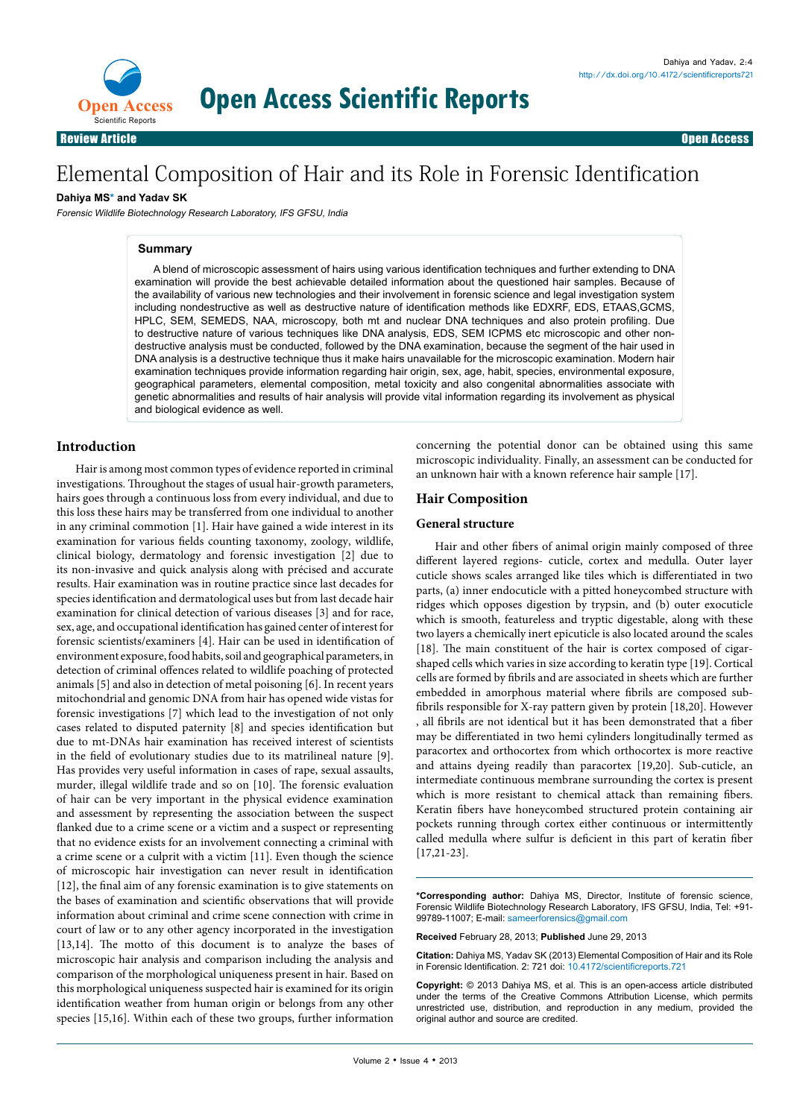

# Elemental Composition of Hair and its Role in Forensic Identification

**Open Access Scientific Reports**

## **Dahiya MS\* and Yadav SK**

Forensic Wildlife Biotechnology Research Laboratory, IFS GFSU, India

#### **Summary**

A blend of microscopic assessment of hairs using various identification techniques and further extending to DNA examination will provide the best achievable detailed information about the questioned hair samples. Because of the availability of various new technologies and their involvement in forensic science and legal investigation system including nondestructive as well as destructive nature of identification methods like EDXRF, EDS, ETAAS,GCMS, HPLC, SEM, SEMEDS, NAA, microscopy, both mt and nuclear DNA techniques and also protein profiling. Due to destructive nature of various techniques like DNA analysis, EDS, SEM ICPMS etc microscopic and other nondestructive analysis must be conducted, followed by the DNA examination, because the segment of the hair used in DNA analysis is a destructive technique thus it make hairs unavailable for the microscopic examination. Modern hair examination techniques provide information regarding hair origin, sex, age, habit, species, environmental exposure, geographical parameters, elemental composition, metal toxicity and also congenital abnormalities associate with genetic abnormalities and results of hair analysis will provide vital information regarding its involvement as physical and biological evidence as well.

## **Introduction**

Hair is among most common types of evidence reported in criminal investigations. Throughout the stages of usual hair-growth parameters, hairs goes through a continuous loss from every individual, and due to this loss these hairs may be transferred from one individual to another in any criminal commotion [1]. Hair have gained a wide interest in its examination for various fields counting taxonomy, zoology, wildlife, clinical biology, dermatology and forensic investigation [2] due to its non-invasive and quick analysis along with précised and accurate results. Hair examination was in routine practice since last decades for species identification and dermatological uses but from last decade hair examination for clinical detection of various diseases [3] and for race, sex, age, and occupational identification has gained center of interest for forensic scientists/examiners [4]. Hair can be used in identification of environment exposure, food habits, soil and geographical parameters, in detection of criminal offences related to wildlife poaching of protected animals [5] and also in detection of metal poisoning [6]. In recent years mitochondrial and genomic DNA from hair has opened wide vistas for forensic investigations [7] which lead to the investigation of not only cases related to disputed paternity [8] and species identification but due to mt-DNAs hair examination has received interest of scientists in the field of evolutionary studies due to its matrilineal nature [9]. Has provides very useful information in cases of rape, sexual assaults, murder, illegal wildlife trade and so on [10]. The forensic evaluation of hair can be very important in the physical evidence examination and assessment by representing the association between the suspect flanked due to a crime scene or a victim and a suspect or representing that no evidence exists for an involvement connecting a criminal with a crime scene or a culprit with a victim [11]. Even though the science of microscopic hair investigation can never result in identification [12], the final aim of any forensic examination is to give statements on the bases of examination and scientific observations that will provide information about criminal and crime scene connection with crime in court of law or to any other agency incorporated in the investigation [13,14]. The motto of this document is to analyze the bases of microscopic hair analysis and comparison including the analysis and comparison of the morphological uniqueness present in hair. Based on this morphological uniqueness suspected hair is examined for its origin identification weather from human origin or belongs from any other species [15,16]. Within each of these two groups, further information

concerning the potential donor can be obtained using this same microscopic individuality. Finally, an assessment can be conducted for an unknown hair with a known reference hair sample [17].

## **Hair Composition**

#### **General structure**

Hair and other fibers of animal origin mainly composed of three different layered regions- cuticle, cortex and medulla. Outer layer cuticle shows scales arranged like tiles which is differentiated in two parts, (a) inner endocuticle with a pitted honeycombed structure with ridges which opposes digestion by trypsin, and (b) outer exocuticle which is smooth, featureless and tryptic digestable, along with these two layers a chemically inert epicuticle is also located around the scales [18]. The main constituent of the hair is cortex composed of cigarshaped cells which varies in size according to keratin type [19]. Cortical cells are formed by fibrils and are associated in sheets which are further embedded in amorphous material where fibrils are composed subfibrils responsible for X-ray pattern given by protein [18,20]. However , all fibrils are not identical but it has been demonstrated that a fiber may be differentiated in two hemi cylinders longitudinally termed as paracortex and orthocortex from which orthocortex is more reactive and attains dyeing readily than paracortex [19,20]. Sub-cuticle, an intermediate continuous membrane surrounding the cortex is present which is more resistant to chemical attack than remaining fibers. Keratin fibers have honeycombed structured protein containing air pockets running through cortex either continuous or intermittently called medulla where sulfur is deficient in this part of keratin fiber [17,21-23].

**\*Corresponding author:** Dahiya MS, Director, Institute of forensic science, Forensic Wildlife Biotechnology Research Laboratory, IFS GFSU, India, Tel: +91- 99789-11007; E-mail: sameerforensics@gmail.com

**Received** February 28, 2013; **Published** June 29, 2013

**Citation:** Dahiya MS, Yadav SK (2013) Elemental Composition of Hair and its Role in Forensic Identification. 2: 721 doi: [10.4172/scientificreports.](http://dx.doi.org/10.4172/scientificreports721)721

**Copyright:** © 2013 Dahiya MS, et al. This is an open-access article distributed under the terms of the Creative Commons Attribution License, which permits unrestricted use, distribution, and reproduction in any medium, provided the original author and source are credited.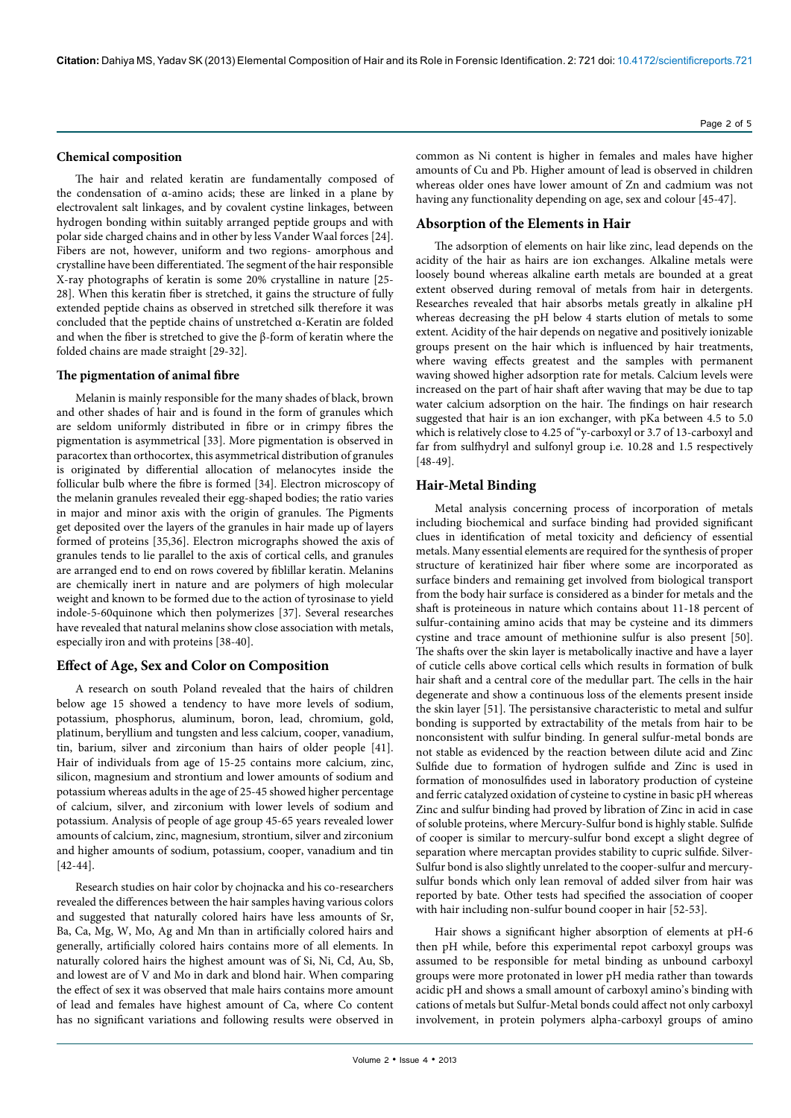#### **Chemical composition**

The hair and related keratin are fundamentally composed of the condensation of α-amino acids; these are linked in a plane by electrovalent salt linkages, and by covalent cystine linkages, between hydrogen bonding within suitably arranged peptide groups and with polar side charged chains and in other by less Vander Waal forces [24]. Fibers are not, however, uniform and two regions- amorphous and crystalline have been differentiated. The segment of the hair responsible X-ray photographs of keratin is some 20% crystalline in nature [25- 28]. When this keratin fiber is stretched, it gains the structure of fully extended peptide chains as observed in stretched silk therefore it was concluded that the peptide chains of unstretched α-Keratin are folded and when the fiber is stretched to give the β-form of keratin where the folded chains are made straight [29-32].

#### **The pigmentation of animal fibre**

Melanin is mainly responsible for the many shades of black, brown and other shades of hair and is found in the form of granules which are seldom uniformly distributed in fibre or in crimpy fibres the pigmentation is asymmetrical [33]. More pigmentation is observed in paracortex than orthocortex, this asymmetrical distribution of granules is originated by differential allocation of melanocytes inside the follicular bulb where the fibre is formed [34]. Electron microscopy of the melanin granules revealed their egg-shaped bodies; the ratio varies in major and minor axis with the origin of granules. The Pigments get deposited over the layers of the granules in hair made up of layers formed of proteins [35,36]. Electron micrographs showed the axis of granules tends to lie parallel to the axis of cortical cells, and granules are arranged end to end on rows covered by fiblillar keratin. Melanins are chemically inert in nature and are polymers of high molecular weight and known to be formed due to the action of tyrosinase to yield indole-5-60quinone which then polymerizes [37]. Several researches have revealed that natural melanins show close association with metals, especially iron and with proteins [38-40].

#### **Effect of Age, Sex and Color on Composition**

A research on south Poland revealed that the hairs of children below age 15 showed a tendency to have more levels of sodium, potassium, phosphorus, aluminum, boron, lead, chromium, gold, platinum, beryllium and tungsten and less calcium, cooper, vanadium, tin, barium, silver and zirconium than hairs of older people [41]. Hair of individuals from age of 15-25 contains more calcium, zinc, silicon, magnesium and strontium and lower amounts of sodium and potassium whereas adults in the age of 25-45 showed higher percentage of calcium, silver, and zirconium with lower levels of sodium and potassium. Analysis of people of age group 45-65 years revealed lower amounts of calcium, zinc, magnesium, strontium, silver and zirconium and higher amounts of sodium, potassium, cooper, vanadium and tin [42-44].

Research studies on hair color by chojnacka and his co-researchers revealed the differences between the hair samples having various colors and suggested that naturally colored hairs have less amounts of Sr, Ba, Ca, Mg, W, Mo, Ag and Mn than in artificially colored hairs and generally, artificially colored hairs contains more of all elements. In naturally colored hairs the highest amount was of Si, Ni, Cd, Au, Sb, and lowest are of V and Mo in dark and blond hair. When comparing the effect of sex it was observed that male hairs contains more amount of lead and females have highest amount of Ca, where Co content has no significant variations and following results were observed in

Page 2 of 5

common as Ni content is higher in females and males have higher amounts of Cu and Pb. Higher amount of lead is observed in children whereas older ones have lower amount of Zn and cadmium was not having any functionality depending on age, sex and colour [45-47].

#### **Absorption of the Elements in Hair**

The adsorption of elements on hair like zinc, lead depends on the acidity of the hair as hairs are ion exchanges. Alkaline metals were loosely bound whereas alkaline earth metals are bounded at a great extent observed during removal of metals from hair in detergents. Researches revealed that hair absorbs metals greatly in alkaline pH whereas decreasing the pH below 4 starts elution of metals to some extent. Acidity of the hair depends on negative and positively ionizable groups present on the hair which is influenced by hair treatments, where waving effects greatest and the samples with permanent waving showed higher adsorption rate for metals. Calcium levels were increased on the part of hair shaft after waving that may be due to tap water calcium adsorption on the hair. The findings on hair research suggested that hair is an ion exchanger, with pKa between 4.5 to 5.0 which is relatively close to 4.25 of "y-carboxyl or 3.7 of 13-carboxyl and far from sulfhydryl and sulfonyl group i.e. 10.28 and 1.5 respectively [48-49].

## **Hair-Metal Binding**

Metal analysis concerning process of incorporation of metals including biochemical and surface binding had provided significant clues in identification of metal toxicity and deficiency of essential metals. Many essential elements are required for the synthesis of proper structure of keratinized hair fiber where some are incorporated as surface binders and remaining get involved from biological transport from the body hair surface is considered as a binder for metals and the shaft is proteineous in nature which contains about 11-18 percent of sulfur-containing amino acids that may be cysteine and its dimmers cystine and trace amount of methionine sulfur is also present [50]. The shafts over the skin layer is metabolically inactive and have a layer of cuticle cells above cortical cells which results in formation of bulk hair shaft and a central core of the medullar part. The cells in the hair degenerate and show a continuous loss of the elements present inside the skin layer [51]. The persistansive characteristic to metal and sulfur bonding is supported by extractability of the metals from hair to be nonconsistent with sulfur binding. In general sulfur-metal bonds are not stable as evidenced by the reaction between dilute acid and Zinc Sulfide due to formation of hydrogen sulfide and Zinc is used in formation of monosulfides used in laboratory production of cysteine and ferric catalyzed oxidation of cysteine to cystine in basic pH whereas Zinc and sulfur binding had proved by libration of Zinc in acid in case of soluble proteins, where Mercury-Sulfur bond is highly stable. Sulfide of cooper is similar to mercury-sulfur bond except a slight degree of separation where mercaptan provides stability to cupric sulfide. Silver-Sulfur bond is also slightly unrelated to the cooper-sulfur and mercurysulfur bonds which only lean removal of added silver from hair was reported by bate. Other tests had specified the association of cooper with hair including non-sulfur bound cooper in hair [52-53].

Hair shows a significant higher absorption of elements at pH-6 then pH while, before this experimental repot carboxyl groups was assumed to be responsible for metal binding as unbound carboxyl groups were more protonated in lower pH media rather than towards acidic pH and shows a small amount of carboxyl amino's binding with cations of metals but Sulfur-Metal bonds could affect not only carboxyl involvement, in protein polymers alpha-carboxyl groups of amino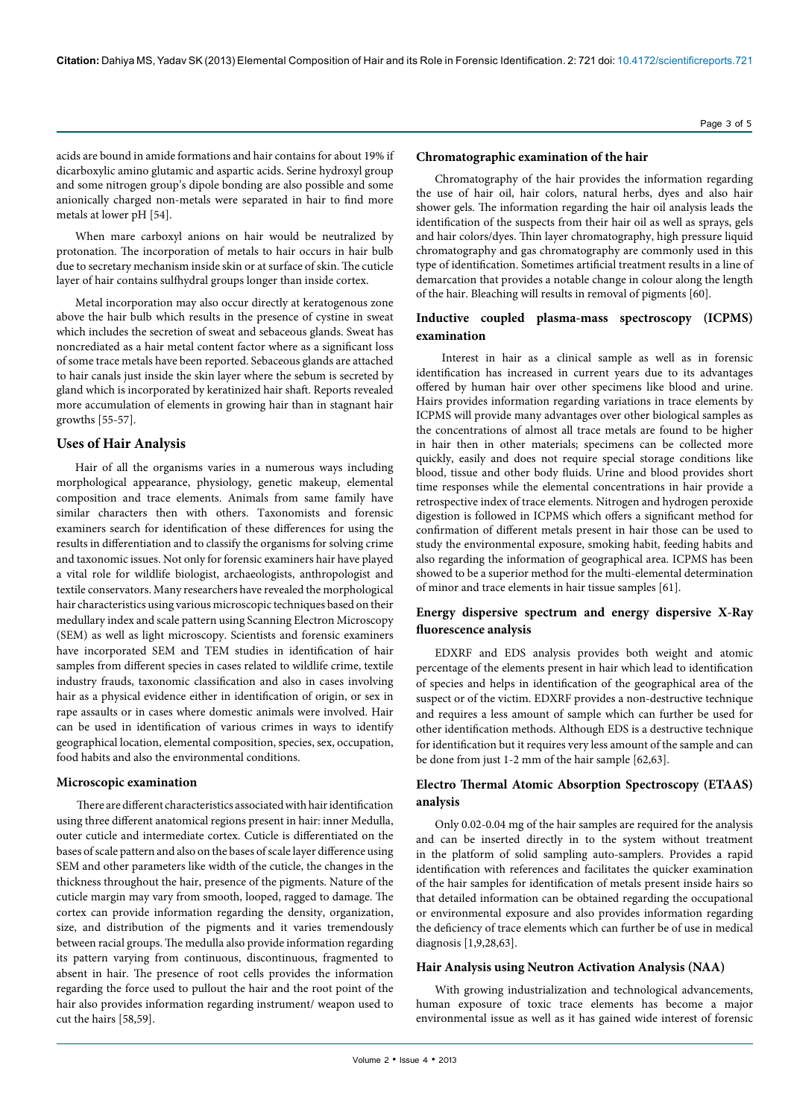acids are bound in amide formations and hair contains for about 19% if dicarboxylic amino glutamic and aspartic acids. Serine hydroxyl group and some nitrogen group's dipole bonding are also possible and some anionically charged non-metals were separated in hair to find more metals at lower pH [54].

When mare carboxyl anions on hair would be neutralized by protonation. The incorporation of metals to hair occurs in hair bulb due to secretary mechanism inside skin or at surface of skin. The cuticle layer of hair contains sulfhydral groups longer than inside cortex.

Metal incorporation may also occur directly at keratogenous zone above the hair bulb which results in the presence of cystine in sweat which includes the secretion of sweat and sebaceous glands. Sweat has noncrediated as a hair metal content factor where as a significant loss of some trace metals have been reported. Sebaceous glands are attached to hair canals just inside the skin layer where the sebum is secreted by gland which is incorporated by keratinized hair shaft. Reports revealed more accumulation of elements in growing hair than in stagnant hair growths [55-57].

## **Uses of Hair Analysis**

Hair of all the organisms varies in a numerous ways including morphological appearance, physiology, genetic makeup, elemental composition and trace elements. Animals from same family have similar characters then with others. Taxonomists and forensic examiners search for identification of these differences for using the results in differentiation and to classify the organisms for solving crime and taxonomic issues. Not only for forensic examiners hair have played a vital role for wildlife biologist, archaeologists, anthropologist and textile conservators. Many researchers have revealed the morphological hair characteristics using various microscopic techniques based on their medullary index and scale pattern using Scanning Electron Microscopy (SEM) as well as light microscopy. Scientists and forensic examiners have incorporated SEM and TEM studies in identification of hair samples from different species in cases related to wildlife crime, textile industry frauds, taxonomic classification and also in cases involving hair as a physical evidence either in identification of origin, or sex in rape assaults or in cases where domestic animals were involved. Hair can be used in identification of various crimes in ways to identify geographical location, elemental composition, species, sex, occupation, food habits and also the environmental conditions.

#### **Microscopic examination**

 There are different characteristics associated with hair identification using three different anatomical regions present in hair: inner Medulla, outer cuticle and intermediate cortex. Cuticle is differentiated on the bases of scale pattern and also on the bases of scale layer difference using SEM and other parameters like width of the cuticle, the changes in the thickness throughout the hair, presence of the pigments. Nature of the cuticle margin may vary from smooth, looped, ragged to damage. The cortex can provide information regarding the density, organization, size, and distribution of the pigments and it varies tremendously between racial groups. The medulla also provide information regarding its pattern varying from continuous, discontinuous, fragmented to absent in hair. The presence of root cells provides the information regarding the force used to pullout the hair and the root point of the hair also provides information regarding instrument/ weapon used to cut the hairs [58,59].

#### **Chromatographic examination of the hair**

Chromatography of the hair provides the information regarding the use of hair oil, hair colors, natural herbs, dyes and also hair shower gels. The information regarding the hair oil analysis leads the identification of the suspects from their hair oil as well as sprays, gels and hair colors/dyes. Thin layer chromatography, high pressure liquid chromatography and gas chromatography are commonly used in this type of identification. Sometimes artificial treatment results in a line of demarcation that provides a notable change in colour along the length of the hair. Bleaching will results in removal of pigments [60].

## **Inductive coupled plasma-mass spectroscopy (ICPMS) examination**

 Interest in hair as a clinical sample as well as in forensic identification has increased in current years due to its advantages offered by human hair over other specimens like blood and urine. Hairs provides information regarding variations in trace elements by ICPMS will provide many advantages over other biological samples as the concentrations of almost all trace metals are found to be higher in hair then in other materials; specimens can be collected more quickly, easily and does not require special storage conditions like blood, tissue and other body fluids. Urine and blood provides short time responses while the elemental concentrations in hair provide a retrospective index of trace elements. Nitrogen and hydrogen peroxide digestion is followed in ICPMS which offers a significant method for confirmation of different metals present in hair those can be used to study the environmental exposure, smoking habit, feeding habits and also regarding the information of geographical area. ICPMS has been showed to be a superior method for the multi-elemental determination of minor and trace elements in hair tissue samples [61].

## **Energy dispersive spectrum and energy dispersive X-Ray fluorescence analysis**

EDXRF and EDS analysis provides both weight and atomic percentage of the elements present in hair which lead to identification of species and helps in identification of the geographical area of the suspect or of the victim. EDXRF provides a non-destructive technique and requires a less amount of sample which can further be used for other identification methods. Although EDS is a destructive technique for identification but it requires very less amount of the sample and can be done from just 1-2 mm of the hair sample [62,63].

## **Electro Thermal Atomic Absorption Spectroscopy (ETAAS) analysis**

Only 0.02-0.04 mg of the hair samples are required for the analysis and can be inserted directly in to the system without treatment in the platform of solid sampling auto-samplers. Provides a rapid identification with references and facilitates the quicker examination of the hair samples for identification of metals present inside hairs so that detailed information can be obtained regarding the occupational or environmental exposure and also provides information regarding the deficiency of trace elements which can further be of use in medical diagnosis [1,9,28,63].

#### **Hair Analysis using Neutron Activation Analysis (NAA)**

With growing industrialization and technological advancements, human exposure of toxic trace elements has become a major environmental issue as well as it has gained wide interest of forensic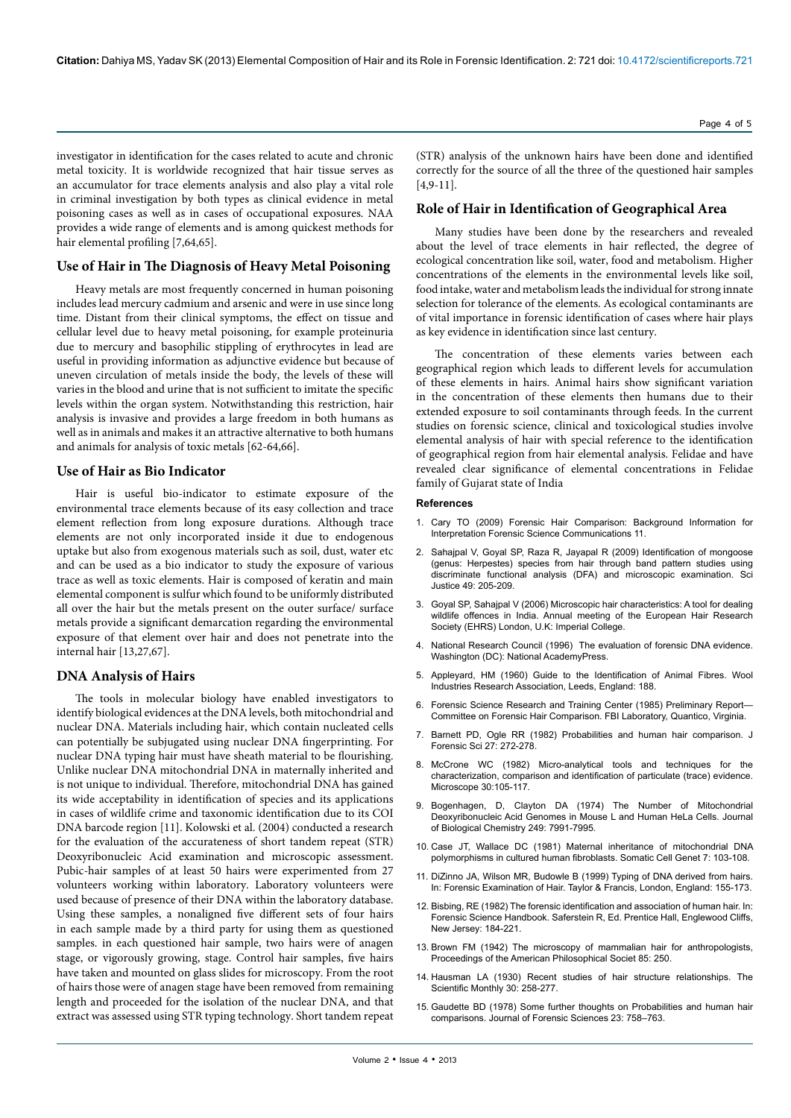**Citation:** Dahiya MS, Yadav SK (2013) Elemental Composition of Hair and its Role in Forensic Identification. 2: 721 doi: [10.4172/scientificreports.](http://www.ncbi.nlm.nih.gov/pubmed/7097202)721

investigator in identification for the cases related to acute and chronic metal toxicity. It is worldwide recognized that hair tissue serves as an accumulator for trace elements analysis and also play a vital role in criminal investigation by both types as clinical evidence in metal poisoning cases as well as in cases of occupational exposures. NAA provides a wide range of elements and is among quickest methods for hair elemental profiling [7,64,65].

#### **Use of Hair in The Diagnosis of Heavy Metal Poisoning**

Heavy metals are most frequently concerned in human poisoning includes lead mercury cadmium and arsenic and were in use since long time. Distant from their clinical symptoms, the effect on tissue and cellular level due to heavy metal poisoning, for example proteinuria due to mercury and basophilic stippling of erythrocytes in lead are useful in providing information as adjunctive evidence but because of uneven circulation of metals inside the body, the levels of these will varies in the blood and urine that is not sufficient to imitate the specific levels within the organ system. Notwithstanding this restriction, hair analysis is invasive and provides a large freedom in both humans as well as in animals and makes it an attractive alternative to both humans and animals for analysis of toxic metals [62-64,66].

## **Use of Hair as Bio Indicator**

Hair is useful bio-indicator to estimate exposure of the environmental trace elements because of its easy collection and trace element reflection from long exposure durations. Although trace elements are not only incorporated inside it due to endogenous uptake but also from exogenous materials such as soil, dust, water etc and can be used as a bio indicator to study the exposure of various trace as well as toxic elements. Hair is composed of keratin and main elemental component is sulfur which found to be uniformly distributed all over the hair but the metals present on the outer surface/ surface metals provide a significant demarcation regarding the environmental exposure of that element over hair and does not penetrate into the internal hair [13,27,67].

#### **DNA Analysis of Hairs**

The tools in molecular biology have enabled investigators to identify biological evidences at the DNA levels, both mitochondrial and nuclear DNA. Materials including hair, which contain nucleated cells can potentially be subjugated using nuclear DNA fingerprinting. For nuclear DNA typing hair must have sheath material to be flourishing. Unlike nuclear DNA mitochondrial DNA in maternally inherited and is not unique to individual. Therefore, mitochondrial DNA has gained its wide acceptability in identification of species and its applications in cases of wildlife crime and taxonomic identification due to its COI DNA barcode region [11]. Kolowski et al. (2004) conducted a research for the evaluation of the accurateness of short tandem repeat (STR) Deoxyribonucleic Acid examination and microscopic assessment. Pubic-hair samples of at least 50 hairs were experimented from 27 volunteers working within laboratory. Laboratory volunteers were used because of presence of their DNA within the laboratory database. Using these samples, a nonaligned five different sets of four hairs in each sample made by a third party for using them as questioned samples. in each questioned hair sample, two hairs were of anagen stage, or vigorously growing, stage. Control hair samples, five hairs have taken and mounted on glass slides for microscopy. From the root of hairs those were of anagen stage have been removed from remaining length and proceeded for the isolation of the nuclear DNA, and that extract was assessed using STR typing technology. Short tandem repeat (STR) analysis of the unknown hairs have been done and identified correctly for the source of all the three of the questioned hair samples [4,9-11].

## **Role of Hair in Identification of Geographical Area**

Many studies have been done by the researchers and revealed about the level of trace elements in hair reflected, the degree of ecological concentration like soil, water, food and metabolism. Higher concentrations of the elements in the environmental levels like soil, food intake, water and metabolism leads the individual for strong innate selection for tolerance of the elements. As ecological contaminants are of vital importance in forensic identification of cases where hair plays as key evidence in identification since last century.

The concentration of these elements varies between each geographical region which leads to different levels for accumulation of these elements in hairs. Animal hairs show significant variation in the concentration of these elements then humans due to their extended exposure to soil contaminants through feeds. In the current studies on forensic science, clinical and toxicological studies involve elemental analysis of hair with special reference to the identification of geographical region from hair elemental analysis. Felidae and have revealed clear significance of elemental concentrations in Felidae family of Gujarat state of India

#### **References**

- 1. [Cary TO \(2009\) Forensic Hair Comparison: Background Information for](http://www.fbi.gov/about-us/lab/forensic-science-communications/fsc/april2009/review/2009_04_review02.htm/)  [Interpretation Forensic Science Communications 11.](http://www.fbi.gov/about-us/lab/forensic-science-communications/fsc/april2009/review/2009_04_review02.htm/)
- 2. [Sahajpal V, Goyal SP, Raza R, Jayapal R \(2009\) Identification of mongoose](http://www.ncbi.nlm.nih.gov/pubmed/19839420)  [\(genus: Herpestes\) species from hair through band pattern studies using](http://www.ncbi.nlm.nih.gov/pubmed/19839420)  [discriminate functional analysis \(DFA\) and microscopic examination. Sci](http://www.ncbi.nlm.nih.gov/pubmed/19839420)  [Justice 49: 205-209.](http://www.ncbi.nlm.nih.gov/pubmed/19839420)
- 3. Goyal SP, Sahajpal V (2006) Microscopic hair characteristics: A tool for dealing wildlife offences in India. Annual meeting of the European Hair Research Society (EHRS) London, U.K: Imperial College.
- 4. [National Research Council \(1996\) The evaluation of forensic DNA evidence.](http://www.nap.edu/catalog.php?record_id=5141)  [Washington \(DC\): National AcademyPress.](http://www.nap.edu/catalog.php?record_id=5141)
- 5. Appleyard, HM (1960) Guide to the Identification of Animal Fibres. Wool Industries Research Association, Leeds, England: 188.
- 6. Forensic Science Research and Training Center (1985) Preliminary Report— Committee on Forensic Hair Comparison. FBI Laboratory, Quantico, Virginia.
- 7. Barnett PD, Ogle RR (1982) Probabilities and human hair comparison. J Forensic Sci 27: 272-278.
- 8. [McCrone WC \(1982\) Micro-analytical tools and techniques for the](http://eurekamag.com/research/005/893/micro-analytical-tools-techniques-characterization-comparison-diagnosis-particulate-trace-proof.php)  [characterization, comparison and identification of particulate \(trace\) evidence.](http://eurekamag.com/research/005/893/micro-analytical-tools-techniques-characterization-comparison-diagnosis-particulate-trace-proof.php)  [Microscope 30:105-117.](http://eurekamag.com/research/005/893/micro-analytical-tools-techniques-characterization-comparison-diagnosis-particulate-trace-proof.php)
- 9. [Bogenhagen, D, Clayton DA \(1974\) The Number of Mitochondrial](http://www.jbc.org/content/249/24/7991.short)  [Deoxyribonucleic Acid Genomes in Mouse L and Human HeLa Cells. Journal](http://www.jbc.org/content/249/24/7991.short)  [of Biological Chemistry 249: 7991-7995.](http://www.jbc.org/content/249/24/7991.short)
- 10. [Case JT, Wallace DC \(1981\) Maternal inheritance of mitochondrial DNA](http://www.ncbi.nlm.nih.gov/pubmed/6261411)  [polymorphisms in cultured human fibroblasts. Somatic Cell Genet 7: 103-108.](http://www.ncbi.nlm.nih.gov/pubmed/6261411)
- 11. [DiZinno JA, Wilson MR, Budowle B \(1999\) Typing of DNA derived from hairs.](http://books.google.co.in/books?hl=en&lr=&id=HL8pCcKq8eAC&oi=fnd&pg=PA155&dq=Typing+of+DNA+derived+from+hairs.+In:+Forensic+Examination+of+Hair.+&ots=pgof0I_-Aa&sig=Q8G72MShWq-Rc8aDDT0-OMEovBo#v=onepage&q=Typing%20of%20DNA%20derived%20from%20hairs.%20In%3A)  [In: Forensic Examination of Hair. Taylor & Francis, London, England: 155-173.](http://books.google.co.in/books?hl=en&lr=&id=HL8pCcKq8eAC&oi=fnd&pg=PA155&dq=Typing+of+DNA+derived+from+hairs.+In:+Forensic+Examination+of+Hair.+&ots=pgof0I_-Aa&sig=Q8G72MShWq-Rc8aDDT0-OMEovBo#v=onepage&q=Typing%20of%20DNA%20derived%20from%20hairs.%20In%3A)
- 12. Bisbing, RE (1982) The forensic identification and association of human hair. In: Forensic Science Handbook. Saferstein R, Ed. Prentice Hall, Englewood Cliffs, New Jersey: 184-221.
- 13. [Brown FM \(1942\) The microscopy of mammalian hair for anthropologists,](http://www.jstor.org/discover/10.2307/985006?uid=3737496&uid=2129&uid=2&uid=70&uid=4&sid=21102367530631)  [Proceedings of the American Philosophical Societ 85: 250.](http://www.jstor.org/discover/10.2307/985006?uid=3737496&uid=2129&uid=2&uid=70&uid=4&sid=21102367530631)
- 14. [Hausman LA \(1930\) Recent studies of hair structure relationships. The](http://adsabs.harvard.edu/abs/1930SciMo..30..258H)  Scientific Monthly 30: 258-277
- 15. [Gaudette BD \(1978\) Some further thoughts on Probabilities and human hair](https://www.zotero.org/groups/society_of_forensic_anthropologists_sofa_-_forensic_anthropology_bibliography/items/itemKey/C9QCN25M)  [comparisons. Journal of Forensic Sciences 23: 758–763.](https://www.zotero.org/groups/society_of_forensic_anthropologists_sofa_-_forensic_anthropology_bibliography/items/itemKey/C9QCN25M)